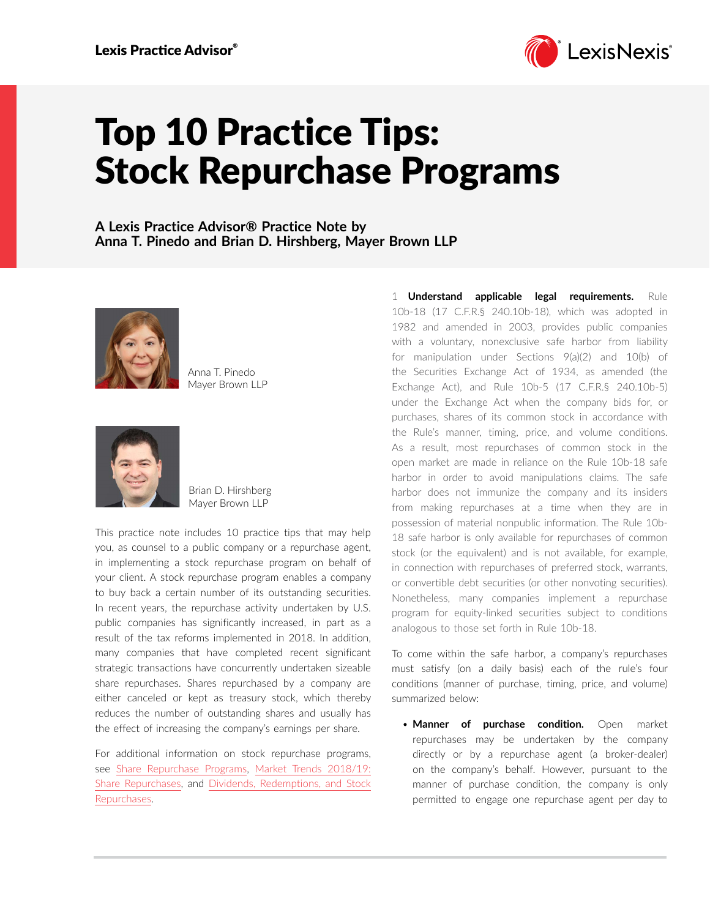

## Top 10 Practice Tips: Stock Repurchase Programs

**A Lexis Practice Advisor® Practice Note by Anna T. Pinedo and Brian D. Hirshberg, Mayer Brown LLP**



Anna T. Pinedo Mayer Brown LLP



Brian D. Hirshberg Mayer Brown LLP

This practice note includes 10 practice tips that may help you, as counsel to a public company or a repurchase agent, in implementing a stock repurchase program on behalf of your client. A stock repurchase program enables a company to buy back a certain number of its outstanding securities. In recent years, the repurchase activity undertaken by U.S. public companies has significantly increased, in part as a result of the tax reforms implemented in 2018. In addition, many companies that have completed recent significant strategic transactions have concurrently undertaken sizeable share repurchases. Shares repurchased by a company are either canceled or kept as treasury stock, which thereby reduces the number of outstanding shares and usually has the effect of increasing the company's earnings per share.

For additional information on stock repurchase programs, see [Share Repurchase Programs,](https://advance.lexis.com/open/document/lpadocument/?pdmfid=1000522&pddocfullpath=%2Fshared%2Fdocument%2Fanalytical-materials%2Furn%3AcontentItem%3A5D8B-GW51-JG59-235D-00000-00&pdcontentcomponentid=101206&pdteaserkey=sr0&pditab=allpods&ecomp=1trg&earg=sr0) [Market Trends 2018/19:](https://advance.lexis.com/open/document/lpadocument/?pdmfid=1000522&pddocfullpath=%2Fshared%2Fdocument%2Fanalytical-materials%2Furn%3AcontentItem%3A5WK3-08V1-JGHR-M000-00000-00&pdcontentcomponentid=101206&pdteaserkey=sr0&pditab=allpods&ecomp=1trg&earg=sr0)  [Share Repurchases](https://advance.lexis.com/open/document/lpadocument/?pdmfid=1000522&pddocfullpath=%2Fshared%2Fdocument%2Fanalytical-materials%2Furn%3AcontentItem%3A5WK3-08V1-JGHR-M000-00000-00&pdcontentcomponentid=101206&pdteaserkey=sr0&pditab=allpods&ecomp=1trg&earg=sr0), and [Dividends, Redemptions, and Stock](https://advance.lexis.com/open/document/lpadocument/?pdmfid=1000522&pddocfullpath=%2Fshared%2Fdocument%2Fanalytical-materials%2Furn%3AcontentItem%3A5K1M-GG61-JNS1-M09B-00000-00&pdcontentcomponentid=101206&pdteaserkey=sr0&pditab=allpods&ecomp=1trg&earg=sr0)  [Repurchases.](https://advance.lexis.com/open/document/lpadocument/?pdmfid=1000522&pddocfullpath=%2Fshared%2Fdocument%2Fanalytical-materials%2Furn%3AcontentItem%3A5K1M-GG61-JNS1-M09B-00000-00&pdcontentcomponentid=101206&pdteaserkey=sr0&pditab=allpods&ecomp=1trg&earg=sr0)

1 **Understand applicable legal requirements.** Rule 10b-18 (17 C.F.R.§ 240.10b-18), which was adopted in 1982 and amended in 2003, provides public companies with a voluntary, nonexclusive safe harbor from liability for manipulation under Sections 9(a)(2) and 10(b) of the Securities Exchange Act of 1934, as amended (the Exchange Act), and Rule 10b-5 (17 C.F.R.§ 240.10b-5) under the Exchange Act when the company bids for, or purchases, shares of its common stock in accordance with the Rule's manner, timing, price, and volume conditions. As a result, most repurchases of common stock in the open market are made in reliance on the Rule 10b-18 safe harbor in order to avoid manipulations claims. The safe harbor does not immunize the company and its insiders from making repurchases at a time when they are in possession of material nonpublic information. The Rule 10b-18 safe harbor is only available for repurchases of common stock (or the equivalent) and is not available, for example, in connection with repurchases of preferred stock, warrants, or convertible debt securities (or other nonvoting securities). Nonetheless, many companies implement a repurchase program for equity-linked securities subject to conditions analogous to those set forth in Rule 10b-18.

To come within the safe harbor, a company's repurchases must satisfy (on a daily basis) each of the rule's four conditions (manner of purchase, timing, price, and volume) summarized below:

• **Manner of purchase condition.** Open market repurchases may be undertaken by the company directly or by a repurchase agent (a broker-dealer) on the company's behalf. However, pursuant to the manner of purchase condition, the company is only permitted to engage one repurchase agent per day to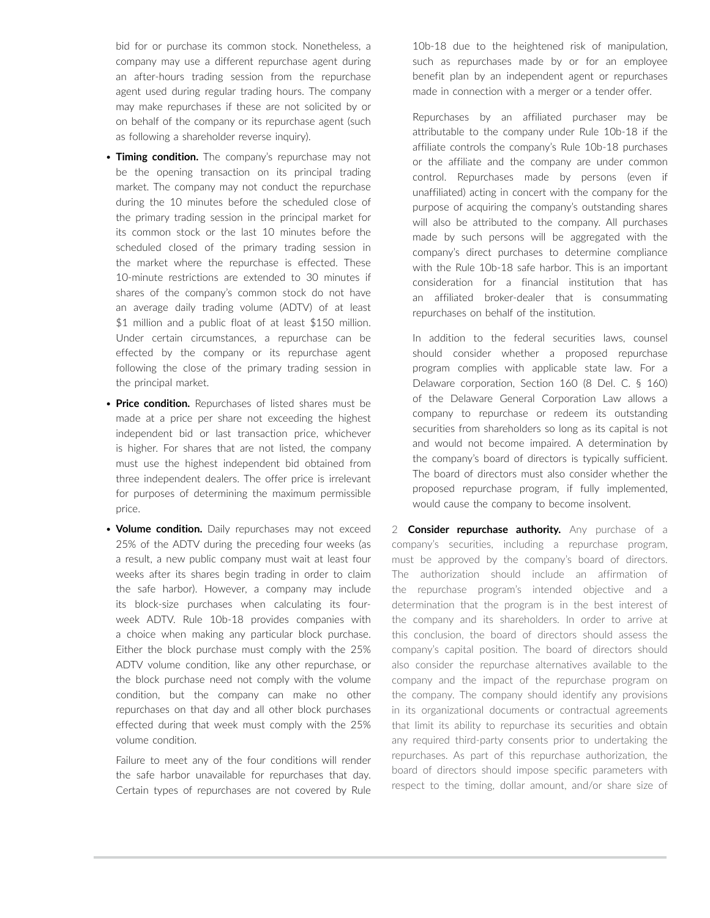bid for or purchase its common stock. Nonetheless, a company may use a different repurchase agent during an after-hours trading session from the repurchase agent used during regular trading hours. The company may make repurchases if these are not solicited by or on behalf of the company or its repurchase agent (such as following a shareholder reverse inquiry).

- **Timing condition.** The company's repurchase may not be the opening transaction on its principal trading market. The company may not conduct the repurchase during the 10 minutes before the scheduled close of the primary trading session in the principal market for its common stock or the last 10 minutes before the scheduled closed of the primary trading session in the market where the repurchase is effected. These 10-minute restrictions are extended to 30 minutes if shares of the company's common stock do not have an average daily trading volume (ADTV) of at least \$1 million and a public float of at least \$150 million. Under certain circumstances, a repurchase can be effected by the company or its repurchase agent following the close of the primary trading session in the principal market.
- **Price condition.** Repurchases of listed shares must be made at a price per share not exceeding the highest independent bid or last transaction price, whichever is higher. For shares that are not listed, the company must use the highest independent bid obtained from three independent dealers. The offer price is irrelevant for purposes of determining the maximum permissible price.
- **Volume condition.** Daily repurchases may not exceed 25% of the ADTV during the preceding four weeks (as a result, a new public company must wait at least four weeks after its shares begin trading in order to claim the safe harbor). However, a company may include its block-size purchases when calculating its fourweek ADTV. Rule 10b-18 provides companies with a choice when making any particular block purchase. Either the block purchase must comply with the 25% ADTV volume condition, like any other repurchase, or the block purchase need not comply with the volume condition, but the company can make no other repurchases on that day and all other block purchases effected during that week must comply with the 25% volume condition.

Failure to meet any of the four conditions will render the safe harbor unavailable for repurchases that day. Certain types of repurchases are not covered by Rule

10b-18 due to the heightened risk of manipulation, such as repurchases made by or for an employee benefit plan by an independent agent or repurchases made in connection with a merger or a tender offer.

Repurchases by an affiliated purchaser may be attributable to the company under Rule 10b-18 if the affiliate controls the company's Rule 10b-18 purchases or the affiliate and the company are under common control. Repurchases made by persons (even if unaffiliated) acting in concert with the company for the purpose of acquiring the company's outstanding shares will also be attributed to the company. All purchases made by such persons will be aggregated with the company's direct purchases to determine compliance with the Rule 10b-18 safe harbor. This is an important consideration for a financial institution that has an affiliated broker-dealer that is consummating repurchases on behalf of the institution.

In addition to the federal securities laws, counsel should consider whether a proposed repurchase program complies with applicable state law. For a Delaware corporation, Section 160 (8 Del. C. § 160) of the Delaware General Corporation Law allows a company to repurchase or redeem its outstanding securities from shareholders so long as its capital is not and would not become impaired. A determination by the company's board of directors is typically sufficient. The board of directors must also consider whether the proposed repurchase program, if fully implemented, would cause the company to become insolvent.

2 **Consider repurchase authority.** Any purchase of a company's securities, including a repurchase program, must be approved by the company's board of directors. The authorization should include an affirmation of the repurchase program's intended objective and a determination that the program is in the best interest of the company and its shareholders. In order to arrive at this conclusion, the board of directors should assess the company's capital position. The board of directors should also consider the repurchase alternatives available to the company and the impact of the repurchase program on the company. The company should identify any provisions in its organizational documents or contractual agreements that limit its ability to repurchase its securities and obtain any required third-party consents prior to undertaking the repurchases. As part of this repurchase authorization, the board of directors should impose specific parameters with respect to the timing, dollar amount, and/or share size of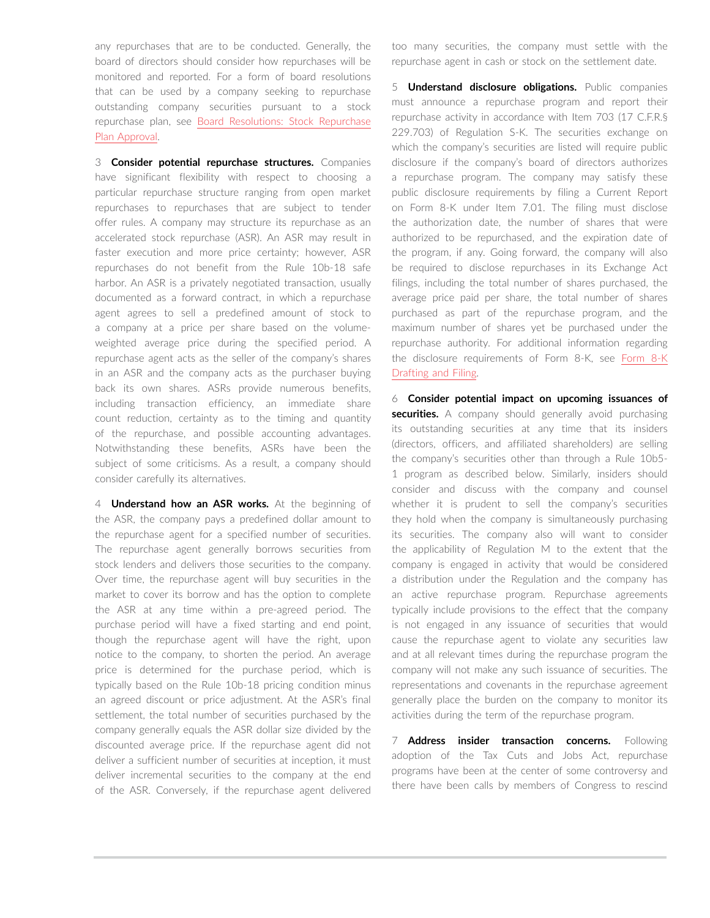any repurchases that are to be conducted. Generally, the board of directors should consider how repurchases will be monitored and reported. For a form of board resolutions that can be used by a company seeking to repurchase outstanding company securities pursuant to a stock repurchase plan, see [Board Resolutions: Stock Repurchase](https://advance.lexis.com/open/document/lpadocument/?pdmfid=1000522&pddocfullpath=%2Fshared%2Fdocument%2Fforms%2Furn%3AcontentItem%3A5JHJ-1B61-F900-G3TW-00000-00&pdcontentcomponentid=101381&pdteaserkey=sr0&pditab=allpods&ecomp=1trg&earg=sr0)  [Plan Approval.](https://advance.lexis.com/open/document/lpadocument/?pdmfid=1000522&pddocfullpath=%2Fshared%2Fdocument%2Fforms%2Furn%3AcontentItem%3A5JHJ-1B61-F900-G3TW-00000-00&pdcontentcomponentid=101381&pdteaserkey=sr0&pditab=allpods&ecomp=1trg&earg=sr0)

3 **Consider potential repurchase structures.** Companies have significant flexibility with respect to choosing a particular repurchase structure ranging from open market repurchases to repurchases that are subject to tender offer rules. A company may structure its repurchase as an accelerated stock repurchase (ASR). An ASR may result in faster execution and more price certainty; however, ASR repurchases do not benefit from the Rule 10b-18 safe harbor. An ASR is a privately negotiated transaction, usually documented as a forward contract, in which a repurchase agent agrees to sell a predefined amount of stock to a company at a price per share based on the volumeweighted average price during the specified period. A repurchase agent acts as the seller of the company's shares in an ASR and the company acts as the purchaser buying back its own shares. ASRs provide numerous benefits, including transaction efficiency, an immediate share count reduction, certainty as to the timing and quantity of the repurchase, and possible accounting advantages. Notwithstanding these benefits, ASRs have been the subject of some criticisms. As a result, a company should consider carefully its alternatives.

4 **Understand how an ASR works.** At the beginning of the ASR, the company pays a predefined dollar amount to the repurchase agent for a specified number of securities. The repurchase agent generally borrows securities from stock lenders and delivers those securities to the company. Over time, the repurchase agent will buy securities in the market to cover its borrow and has the option to complete the ASR at any time within a pre-agreed period. The purchase period will have a fixed starting and end point, though the repurchase agent will have the right, upon notice to the company, to shorten the period. An average price is determined for the purchase period, which is typically based on the Rule 10b-18 pricing condition minus an agreed discount or price adjustment. At the ASR's final settlement, the total number of securities purchased by the company generally equals the ASR dollar size divided by the discounted average price. If the repurchase agent did not deliver a sufficient number of securities at inception, it must deliver incremental securities to the company at the end of the ASR. Conversely, if the repurchase agent delivered too many securities, the company must settle with the repurchase agent in cash or stock on the settlement date.

5 **Understand disclosure obligations.** Public companies must announce a repurchase program and report their repurchase activity in accordance with Item 703 (17 C.F.R.§ 229.703) of Regulation S-K. The securities exchange on which the company's securities are listed will require public disclosure if the company's board of directors authorizes a repurchase program. The company may satisfy these public disclosure requirements by filing a Current Report on Form 8-K under Item 7.01. The filing must disclose the authorization date, the number of shares that were authorized to be repurchased, and the expiration date of the program, if any. Going forward, the company will also be required to disclose repurchases in its Exchange Act filings, including the total number of shares purchased, the average price paid per share, the total number of shares purchased as part of the repurchase program, and the maximum number of shares yet be purchased under the repurchase authority. For additional information regarding the disclosure requirements of Form 8-K, see [Form 8-K](https://advance.lexis.com/open/document/lpadocument/?pdmfid=1000522&pddocfullpath=%2Fshared%2Fdocument%2Fanalytical-materials%2Furn%3AcontentItem%3A576Y-2CH1-DXPM-S02V-00000-00&pdcontentcomponentid=101206&pdteaserkey=sr0&pditab=allpods&ecomp=1trg&earg=sr0)  [Drafting and Filing](https://advance.lexis.com/open/document/lpadocument/?pdmfid=1000522&pddocfullpath=%2Fshared%2Fdocument%2Fanalytical-materials%2Furn%3AcontentItem%3A576Y-2CH1-DXPM-S02V-00000-00&pdcontentcomponentid=101206&pdteaserkey=sr0&pditab=allpods&ecomp=1trg&earg=sr0).

6 **Consider potential impact on upcoming issuances of**  securities. A company should generally avoid purchasing its outstanding securities at any time that its insiders (directors, officers, and affiliated shareholders) are selling the company's securities other than through a Rule 10b5- 1 program as described below. Similarly, insiders should consider and discuss with the company and counsel whether it is prudent to sell the company's securities they hold when the company is simultaneously purchasing its securities. The company also will want to consider the applicability of Regulation M to the extent that the company is engaged in activity that would be considered a distribution under the Regulation and the company has an active repurchase program. Repurchase agreements typically include provisions to the effect that the company is not engaged in any issuance of securities that would cause the repurchase agent to violate any securities law and at all relevant times during the repurchase program the company will not make any such issuance of securities. The representations and covenants in the repurchase agreement generally place the burden on the company to monitor its activities during the term of the repurchase program.

7 **Address insider transaction concerns.** Following adoption of the Tax Cuts and Jobs Act, repurchase programs have been at the center of some controversy and there have been calls by members of Congress to rescind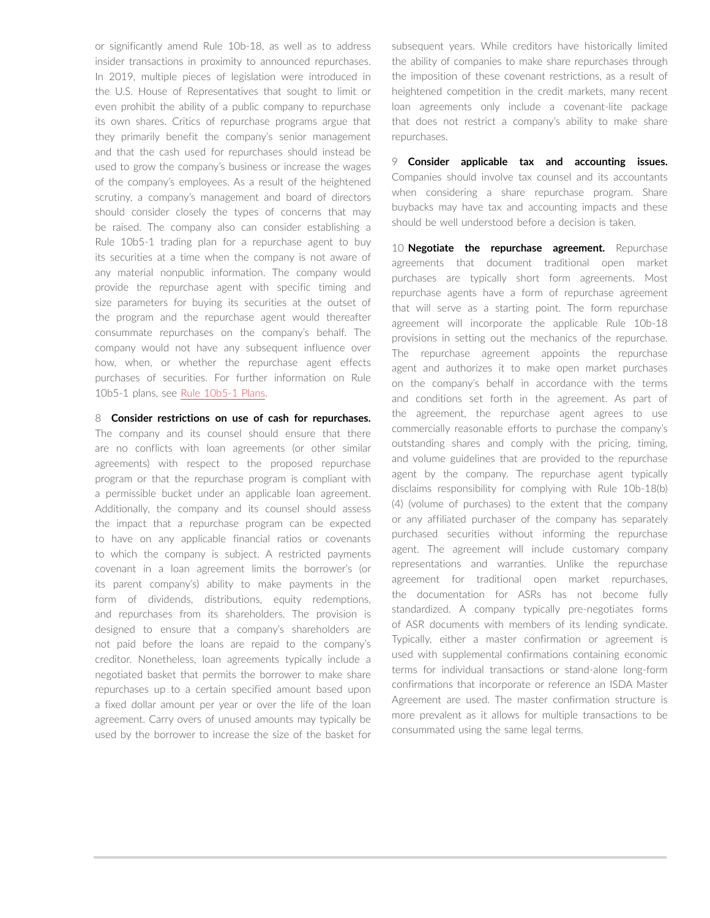or significantly amend Rule 10b-18, as well as to address insider transactions in proximity to announced repurchases. In 2019, multiple pieces of legislation were introduced in the U.S. House of Representatives that sought to limit or even prohibit the ability of a public company to repurchase its own shares. Critics of repurchase programs argue that they primarily benefit the company's senior management and that the cash used for repurchases should instead be used to grow the company's business or increase the wages of the company's employees. As a result of the heightened scrutiny, a company's management and board of directors should consider closely the types of concerns that may be raised. The company also can consider establishing a Rule 10b5-1 trading plan for a repurchase agent to buy its securities at a time when the company is not aware of any material nonpublic information. The company would provide the repurchase agent with specific timing and size parameters for buying its securities at the outset of the program and the repurchase agent would thereafter consummate repurchases on the company's behalf. The company would not have any subsequent influence over how, when, or whether the repurchase agent effects purchases of securities. For further information on Rule 10b5-1 plans, see [Rule 10b5-1 Plans.](https://advance.lexis.com/open/document/lpadocument/?pdmfid=1000522&pddocfullpath=%2Fshared%2Fdocument%2Fanalytical-materials%2Furn%3AcontentItem%3A5D8B-GW51-JG59-235C-00000-00&pdcontentcomponentid=101206&pdteaserkey=sr0&pditab=allpods&ecomp=1trg&earg=sr0)

8 **Consider restrictions on use of cash for repurchases.**

The company and its counsel should ensure that there are no conflicts with loan agreements (or other similar agreements) with respect to the proposed repurchase program or that the repurchase program is compliant with a permissible bucket under an applicable loan agreement. Additionally, the company and its counsel should assess the impact that a repurchase program can be expected to have on any applicable financial ratios or covenants to which the company is subject. A restricted payments covenant in a loan agreement limits the borrower's (or its parent company's) ability to make payments in the form of dividends, distributions, equity redemptions, and repurchases from its shareholders. The provision is designed to ensure that a company's shareholders are not paid before the loans are repaid to the company's creditor. Nonetheless, loan agreements typically include a negotiated basket that permits the borrower to make share repurchases up to a certain specified amount based upon a fixed dollar amount per year or over the life of the loan agreement. Carry overs of unused amounts may typically be used by the borrower to increase the size of the basket for subsequent years. While creditors have historically limited the ability of companies to make share repurchases through the imposition of these covenant restrictions, as a result of heightened competition in the credit markets, many recent loan agreements only include a covenant-lite package that does not restrict a company's ability to make share repurchases.

9 **Consider applicable tax and accounting issues.**  Companies should involve tax counsel and its accountants when considering a share repurchase program. Share buybacks may have tax and accounting impacts and these should be well understood before a decision is taken.

10 **Negotiate the repurchase agreement.** Repurchase agreements that document traditional open market purchases are typically short form agreements. Most repurchase agents have a form of repurchase agreement that will serve as a starting point. The form repurchase agreement will incorporate the applicable Rule 10b-18 provisions in setting out the mechanics of the repurchase. The repurchase agreement appoints the repurchase agent and authorizes it to make open market purchases on the company's behalf in accordance with the terms and conditions set forth in the agreement. As part of the agreement, the repurchase agent agrees to use commercially reasonable efforts to purchase the company's outstanding shares and comply with the pricing, timing, and volume guidelines that are provided to the repurchase agent by the company. The repurchase agent typically disclaims responsibility for complying with Rule 10b-18(b) (4) (volume of purchases) to the extent that the company or any affiliated purchaser of the company has separately purchased securities without informing the repurchase agent. The agreement will include customary company representations and warranties. Unlike the repurchase agreement for traditional open market repurchases, the documentation for ASRs has not become fully standardized. A company typically pre-negotiates forms of ASR documents with members of its lending syndicate. Typically, either a master confirmation or agreement is used with supplemental confirmations containing economic terms for individual transactions or stand-alone long-form confirmations that incorporate or reference an ISDA Master Agreement are used. The master confirmation structure is more prevalent as it allows for multiple transactions to be consummated using the same legal terms.